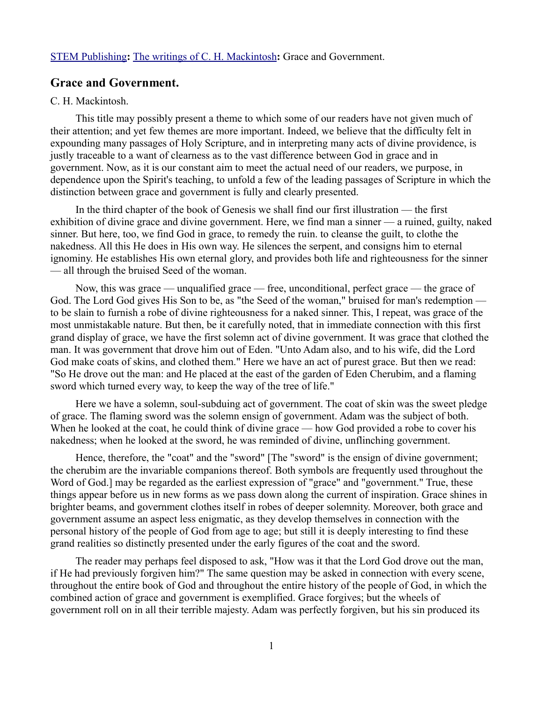## [STEM Publishing](http://www.stempublishing.com/)**:** [The writings of C. H. Mackintosh](http://www.stempublishing.com/authors/mackintosh/index.html)**:** Grace and Government.

## **Grace and Government.**

## C. H. Mackintosh.

This title may possibly present a theme to which some of our readers have not given much of their attention; and yet few themes are more important. Indeed, we believe that the difficulty felt in expounding many passages of Holy Scripture, and in interpreting many acts of divine providence, is justly traceable to a want of clearness as to the vast difference between God in grace and in government. Now, as it is our constant aim to meet the actual need of our readers, we purpose, in dependence upon the Spirit's teaching, to unfold a few of the leading passages of Scripture in which the distinction between grace and government is fully and clearly presented.

In the third chapter of the book of Genesis we shall find our first illustration — the first exhibition of divine grace and divine government. Here, we find man a sinner — a ruined, guilty, naked sinner. But here, too, we find God in grace, to remedy the ruin. to cleanse the guilt, to clothe the nakedness. All this He does in His own way. He silences the serpent, and consigns him to eternal ignominy. He establishes His own eternal glory, and provides both life and righteousness for the sinner — all through the bruised Seed of the woman.

Now, this was grace — unqualified grace — free, unconditional, perfect grace — the grace of God. The Lord God gives His Son to be, as "the Seed of the woman," bruised for man's redemption to be slain to furnish a robe of divine righteousness for a naked sinner. This, I repeat, was grace of the most unmistakable nature. But then, be it carefully noted, that in immediate connection with this first grand display of grace, we have the first solemn act of divine government. It was grace that clothed the man. It was government that drove him out of Eden. "Unto Adam also, and to his wife, did the Lord God make coats of skins, and clothed them." Here we have an act of purest grace. But then we read: "So He drove out the man: and He placed at the east of the garden of Eden Cherubim, and a flaming sword which turned every way, to keep the way of the tree of life."

Here we have a solemn, soul-subduing act of government. The coat of skin was the sweet pledge of grace. The flaming sword was the solemn ensign of government. Adam was the subject of both. When he looked at the coat, he could think of divine grace — how God provided a robe to cover his nakedness; when he looked at the sword, he was reminded of divine, unflinching government.

Hence, therefore, the "coat" and the "sword" [The "sword" is the ensign of divine government; the cherubim are the invariable companions thereof. Both symbols are frequently used throughout the Word of God.] may be regarded as the earliest expression of "grace" and "government." True, these things appear before us in new forms as we pass down along the current of inspiration. Grace shines in brighter beams, and government clothes itself in robes of deeper solemnity. Moreover, both grace and government assume an aspect less enigmatic, as they develop themselves in connection with the personal history of the people of God from age to age; but still it is deeply interesting to find these grand realities so distinctly presented under the early figures of the coat and the sword.

The reader may perhaps feel disposed to ask, "How was it that the Lord God drove out the man, if He had previously forgiven him?" The same question may be asked in connection with every scene, throughout the entire book of God and throughout the entire history of the people of God, in which the combined action of grace and government is exemplified. Grace forgives; but the wheels of government roll on in all their terrible majesty. Adam was perfectly forgiven, but his sin produced its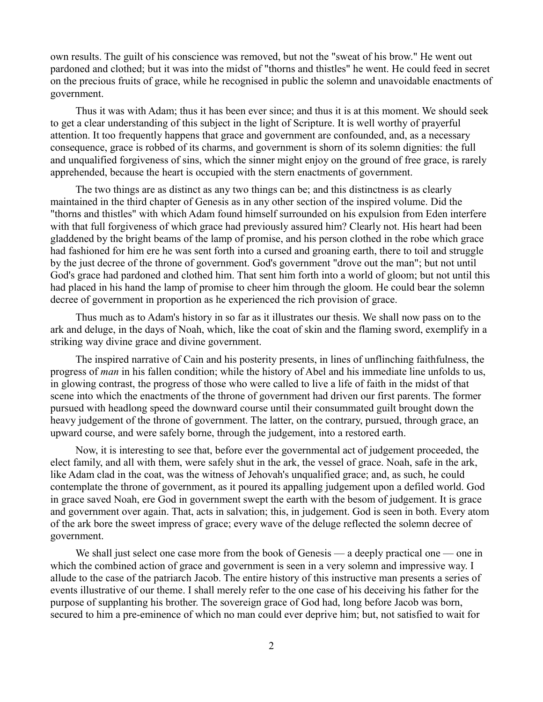own results. The guilt of his conscience was removed, but not the "sweat of his brow." He went out pardoned and clothed; but it was into the midst of "thorns and thistles" he went. He could feed in secret on the precious fruits of grace, while he recognised in public the solemn and unavoidable enactments of government.

Thus it was with Adam; thus it has been ever since; and thus it is at this moment. We should seek to get a clear understanding of this subject in the light of Scripture. It is well worthy of prayerful attention. It too frequently happens that grace and government are confounded, and, as a necessary consequence, grace is robbed of its charms, and government is shorn of its solemn dignities: the full and unqualified forgiveness of sins, which the sinner might enjoy on the ground of free grace, is rarely apprehended, because the heart is occupied with the stern enactments of government.

The two things are as distinct as any two things can be; and this distinctness is as clearly maintained in the third chapter of Genesis as in any other section of the inspired volume. Did the "thorns and thistles" with which Adam found himself surrounded on his expulsion from Eden interfere with that full forgiveness of which grace had previously assured him? Clearly not. His heart had been gladdened by the bright beams of the lamp of promise, and his person clothed in the robe which grace had fashioned for him ere he was sent forth into a cursed and groaning earth, there to toil and struggle by the just decree of the throne of government. God's government "drove out the man"; but not until God's grace had pardoned and clothed him. That sent him forth into a world of gloom; but not until this had placed in his hand the lamp of promise to cheer him through the gloom. He could bear the solemn decree of government in proportion as he experienced the rich provision of grace.

Thus much as to Adam's history in so far as it illustrates our thesis. We shall now pass on to the ark and deluge, in the days of Noah, which, like the coat of skin and the flaming sword, exemplify in a striking way divine grace and divine government.

The inspired narrative of Cain and his posterity presents, in lines of unflinching faithfulness, the progress of *man* in his fallen condition; while the history of Abel and his immediate line unfolds to us, in glowing contrast, the progress of those who were called to live a life of faith in the midst of that scene into which the enactments of the throne of government had driven our first parents. The former pursued with headlong speed the downward course until their consummated guilt brought down the heavy judgement of the throne of government. The latter, on the contrary, pursued, through grace, an upward course, and were safely borne, through the judgement, into a restored earth.

Now, it is interesting to see that, before ever the governmental act of judgement proceeded, the elect family, and all with them, were safely shut in the ark, the vessel of grace. Noah, safe in the ark, like Adam clad in the coat, was the witness of Jehovah's unqualified grace; and, as such, he could contemplate the throne of government, as it poured its appalling judgement upon a defiled world. God in grace saved Noah, ere God in government swept the earth with the besom of judgement. It is grace and government over again. That, acts in salvation; this, in judgement. God is seen in both. Every atom of the ark bore the sweet impress of grace; every wave of the deluge reflected the solemn decree of government.

We shall just select one case more from the book of Genesis — a deeply practical one — one in which the combined action of grace and government is seen in a very solemn and impressive way. I allude to the case of the patriarch Jacob. The entire history of this instructive man presents a series of events illustrative of our theme. I shall merely refer to the one case of his deceiving his father for the purpose of supplanting his brother. The sovereign grace of God had, long before Jacob was born, secured to him a pre-eminence of which no man could ever deprive him; but, not satisfied to wait for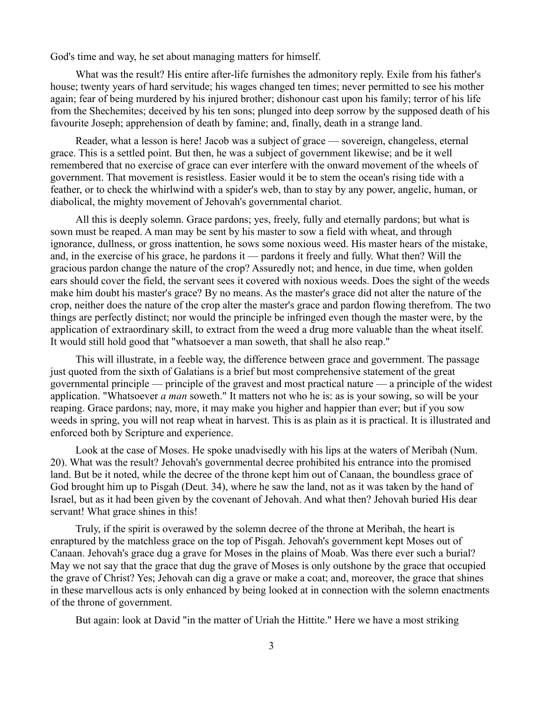God's time and way, he set about managing matters for himself.

What was the result? His entire after-life furnishes the admonitory reply. Exile from his father's house; twenty years of hard servitude; his wages changed ten times; never permitted to see his mother again; fear of being murdered by his injured brother; dishonour cast upon his family; terror of his life from the Shechemites; deceived by his ten sons; plunged into deep sorrow by the supposed death of his favourite Joseph; apprehension of death by famine; and, finally, death in a strange land.

Reader, what a lesson is here! Jacob was a subject of grace — sovereign, changeless, eternal grace. This is a settled point. But then, he was a subject of government likewise; and be it well remembered that no exercise of grace can ever interfere with the onward movement of the wheels of government. That movement is resistless. Easier would it be to stem the ocean's rising tide with a feather, or to check the whirlwind with a spider's web, than to stay by any power, angelic, human, or diabolical, the mighty movement of Jehovah's governmental chariot.

All this is deeply solemn. Grace pardons; yes, freely, fully and eternally pardons; but what is sown must be reaped. A man may be sent by his master to sow a field with wheat, and through ignorance, dullness, or gross inattention, he sows some noxious weed. His master hears of the mistake, and, in the exercise of his grace, he pardons it — pardons it freely and fully. What then? Will the gracious pardon change the nature of the crop? Assuredly not; and hence, in due time, when golden ears should cover the field, the servant sees it covered with noxious weeds. Does the sight of the weeds make him doubt his master's grace? By no means. As the master's grace did not alter the nature of the crop, neither does the nature of the crop alter the master's grace and pardon flowing therefrom. The two things are perfectly distinct; nor would the principle be infringed even though the master were, by the application of extraordinary skill, to extract from the weed a drug more valuable than the wheat itself. It would still hold good that "whatsoever a man soweth, that shall he also reap."

This will illustrate, in a feeble way, the difference between grace and government. The passage just quoted from the sixth of Galatians is a brief but most comprehensive statement of the great governmental principle — principle of the gravest and most practical nature — a principle of the widest application. "Whatsoever *a man* soweth." It matters not who he is: as is your sowing, so will be your reaping. Grace pardons; nay, more, it may make you higher and happier than ever; but if you sow weeds in spring, you will not reap wheat in harvest. This is as plain as it is practical. It is illustrated and enforced both by Scripture and experience.

Look at the case of Moses. He spoke unadvisedly with his lips at the waters of Meribah (Num. 20). What was the result? Jehovah's governmental decree prohibited his entrance into the promised land. But be it noted, while the decree of the throne kept him out of Canaan, the boundless grace of God brought him up to Pisgah (Deut. 34), where he saw the land, not as it was taken by the hand of Israel, but as it had been given by the covenant of Jehovah. And what then? Jehovah buried His dear servant! What grace shines in this!

Truly, if the spirit is overawed by the solemn decree of the throne at Meribah, the heart is enraptured by the matchless grace on the top of Pisgah. Jehovah's government kept Moses out of Canaan. Jehovah's grace dug a grave for Moses in the plains of Moab. Was there ever such a burial? May we not say that the grace that dug the grave of Moses is only outshone by the grace that occupied the grave of Christ? Yes; Jehovah can dig a grave or make a coat; and, moreover, the grace that shines in these marvellous acts is only enhanced by being looked at in connection with the solemn enactments of the throne of government.

But again: look at David "in the matter of Uriah the Hittite." Here we have a most striking